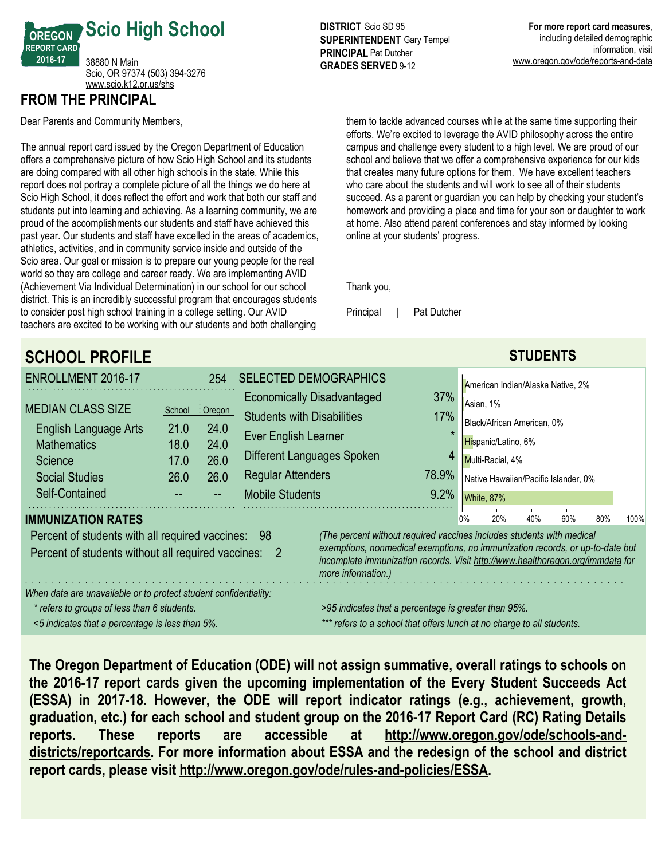

## **FROM THE PRINCIPAL**

Dear Parents and Community Members,

The annual report card issued by the Oregon Department of Education offers a comprehensive picture of how Scio High School and its students are doing compared with all other high schools in the state. While this report does not portray a complete picture of all the things we do here at Scio High School, it does reflect the effort and work that both our staff and students put into learning and achieving. As a learning community, we are proud of the accomplishments our students and staff have achieved this past year. Our students and staff have excelled in the areas of academics, athletics, activities, and in community service inside and outside of the Scio area. Our goal or mission is to prepare our young people for the real world so they are college and career ready. We are implementing AVID (Achievement Via Individual Determination) in our school for our school district. This is an incredibly successful program that encourages students to consider post high school training in a college setting. Our AVID teachers are excited to be working with our students and both challenging

**DISTRICT** Scio SD 95 **SUPERINTENDENT** Gary Tempel **PRINCIPAL** Pat Dutcher **GRADES SERVED** 9-12

them to tackle advanced courses while at the same time supporting their efforts. We're excited to leverage the AVID philosophy across the entire campus and challenge every student to a high level. We are proud of our school and believe that we offer a comprehensive experience for our kids that creates many future options for them. We have excellent teachers who care about the students and will work to see all of their students succeed. As a parent or guardian you can help by checking your student's homework and providing a place and time for your son or daughter to work at home. Also attend parent conferences and stay informed by looking online at your students' progress.

Thank you,

Principal | Pat Dutcher

| <b>SCHOOL PROFILE</b>                                                                                                       |                                                                                                                                                                                       |                  |                                   |                                   |      |    |                                      | <b>STUDENTS</b> |     |     |      |
|-----------------------------------------------------------------------------------------------------------------------------|---------------------------------------------------------------------------------------------------------------------------------------------------------------------------------------|------------------|-----------------------------------|-----------------------------------|------|----|--------------------------------------|-----------------|-----|-----|------|
| ENROLLMENT 2016-17                                                                                                          |                                                                                                                                                                                       | 254              |                                   | <b>SELECTED DEMOGRAPHICS</b>      |      |    | American Indian/Alaska Native, 2%    |                 |     |     |      |
| <b>MEDIAN CLASS SIZE</b>                                                                                                    |                                                                                                                                                                                       |                  |                                   | <b>Economically Disadvantaged</b> | 37%  |    | Asian, 1%                            |                 |     |     |      |
| <b>English Language Arts</b>                                                                                                | School<br>21.0                                                                                                                                                                        | : Oregon<br>24.0 | <b>Students with Disabilities</b> |                                   | 17%  |    | Black/African American, 0%           |                 |     |     |      |
| <b>Mathematics</b>                                                                                                          | 18.0                                                                                                                                                                                  | 24.0             | Ever English Learner              |                                   |      |    | Hispanic/Latino, 6%                  |                 |     |     |      |
| Science                                                                                                                     | 17.0                                                                                                                                                                                  | 26.0             | Different Languages Spoken<br>4   |                                   |      |    | Multi-Racial, 4%                     |                 |     |     |      |
| <b>Social Studies</b>                                                                                                       | 26.0                                                                                                                                                                                  | 26.0             | 78.9%<br><b>Regular Attenders</b> |                                   |      |    | Native Hawaiian/Pacific Islander, 0% |                 |     |     |      |
| Self-Contained                                                                                                              |                                                                                                                                                                                       |                  | <b>Mobile Students</b>            |                                   | 9.2% |    | White, 87%                           |                 |     |     |      |
| <b>IMMUNIZATION RATES</b>                                                                                                   |                                                                                                                                                                                       |                  |                                   |                                   |      | 0% | 20%                                  | 40%             | 60% | 80% | 100% |
| (The percent without required vaccines includes students with medical<br>Percent of students with all required vaccines: 98 |                                                                                                                                                                                       |                  |                                   |                                   |      |    |                                      |                 |     |     |      |
| Percent of students without all required vaccines:                                                                          | exemptions, nonmedical exemptions, no immunization records, or up-to-date but<br>incomplete immunization records. Visit http://www.healthoregon.org/immdata for<br>more information.) |                  |                                   |                                   |      |    |                                      |                 |     |     |      |
| When data are unavailable or to protect student confidentiality:                                                            |                                                                                                                                                                                       |                  |                                   |                                   |      |    |                                      |                 |     |     |      |
| * refers to groups of less than 6 students.                                                                                 | >95 indicates that a percentage is greater than 95%.                                                                                                                                  |                  |                                   |                                   |      |    |                                      |                 |     |     |      |
| <5 indicates that a percentage is less than 5%.                                                                             | *** refers to a school that offers lunch at no charge to all students.                                                                                                                |                  |                                   |                                   |      |    |                                      |                 |     |     |      |

**The Oregon Department of Education (ODE) will not assign summative, overall ratings to schools on the 2016-17 report cards given the upcoming implementation of the Every Student Succeeds Act (ESSA) in 2017-18. However, the ODE will report indicator ratings (e.g., achievement, growth, graduation, etc.) for each school and student group on the 2016-17 Report Card (RC) Rating Details reports. These reports are accessible at http://www.oregon.gov/ode/schools-anddistricts/reportcards. For more information about ESSA and the redesign of the school and district report cards, please visit http://www.oregon.gov/ode/rules-and-policies/ESSA.**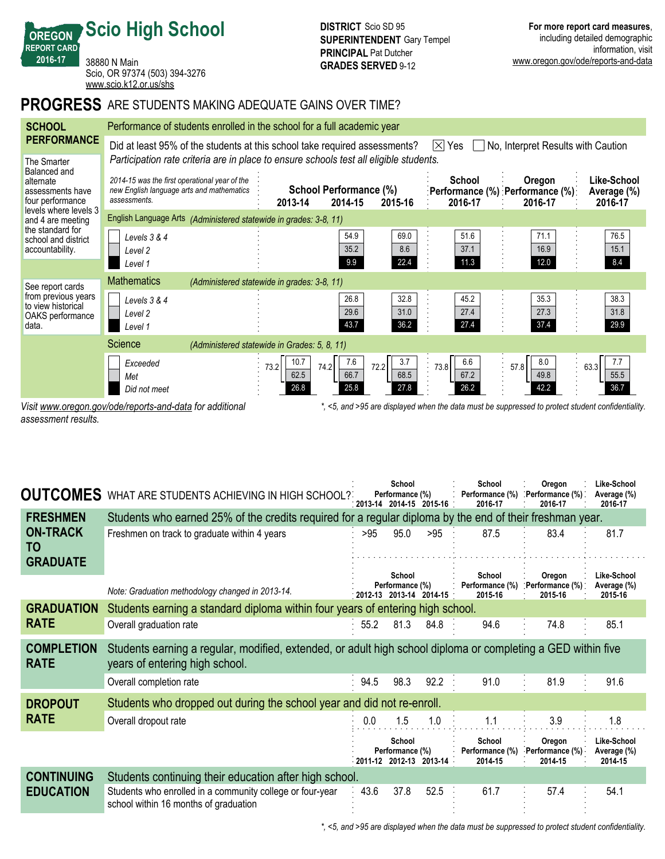38880 N Main Scio, OR 97374 (503) 394-3276 <www.scio.k12.or.us/shs>

**Scio High School**

# **PROGRESS** ARE STUDENTS MAKING ADEQUATE GAINS OVER TIME?

| <b>SCHOOL</b>                                                          | Performance of students enrolled in the school for a full academic year                                                               |                                                                   |                                                             |                             |                             |                                                                                                   |                                       |  |  |  |  |  |
|------------------------------------------------------------------------|---------------------------------------------------------------------------------------------------------------------------------------|-------------------------------------------------------------------|-------------------------------------------------------------|-----------------------------|-----------------------------|---------------------------------------------------------------------------------------------------|---------------------------------------|--|--|--|--|--|
| <b>PERFORMANCE</b>                                                     | Did at least 95% of the students at this school take required assessments?<br>$ \times $<br>No, Interpret Results with Caution<br>Yes |                                                                   |                                                             |                             |                             |                                                                                                   |                                       |  |  |  |  |  |
| The Smarter<br>Balanced and                                            | Participation rate criteria are in place to ensure schools test all eligible students.                                                |                                                                   |                                                             |                             |                             |                                                                                                   |                                       |  |  |  |  |  |
| alternate<br>assessments have<br>four performance                      | 2014-15 was the first operational year of the<br>new English language arts and mathematics<br>assessments.                            |                                                                   | School Performance (%)<br>2014-15<br>2013-14                | 2015-16                     | <b>School</b><br>2016-17    | Oregon<br>:Performance (%) :Performance (%):<br>2016-17                                           | Like-School<br>Average (%)<br>2016-17 |  |  |  |  |  |
| levels where levels 3<br>and 4 are meeting                             |                                                                                                                                       | English Language Arts (Administered statewide in grades: 3-8, 11) |                                                             |                             |                             |                                                                                                   |                                       |  |  |  |  |  |
| the standard for<br>school and district<br>accountability.             | Levels 3 & 4<br>Level 2<br>Level 1                                                                                                    |                                                                   | 54.9<br>35.2<br>9.9                                         | 69.0<br>8.6<br>22.4         | 51.6<br>37.1<br>11.3        | 71.1<br>16.9<br>12.0                                                                              | 76.5<br>15.1<br>8.4                   |  |  |  |  |  |
| See report cards                                                       | <b>Mathematics</b>                                                                                                                    | (Administered statewide in grades: 3-8, 11)                       |                                                             |                             |                             |                                                                                                   |                                       |  |  |  |  |  |
| from previous years<br>to view historical<br>OAKS performance<br>data. | Levels 3 & 4<br>Level <sub>2</sub><br>Level 1                                                                                         |                                                                   | 26.8<br>29.6<br>43.7                                        | 32.8<br>31.0<br>36.2        | 45.2<br>27.4<br>27.4        | 35.3<br>27.3<br>37.4                                                                              | 38.3<br>31.8<br>29.9                  |  |  |  |  |  |
|                                                                        | Science                                                                                                                               | (Administered statewide in Grades: 5, 8, 11)                      |                                                             |                             |                             |                                                                                                   |                                       |  |  |  |  |  |
|                                                                        | Exceeded<br>Met<br>Did not meet                                                                                                       |                                                                   | 10.7<br>7.6<br>73.2<br>74.2<br>66.7<br>62.5<br>26.8<br>25.8 | 3.7<br>72.2<br>68.5<br>27.8 | 6.6<br>73.8<br>67.2<br>26.2 | 8.0<br>57.8<br>49.8<br>42.2                                                                       | 7.7<br>63.3<br>55.5<br>36.7           |  |  |  |  |  |
|                                                                        | Visit www.oregon.gov/ode/reports-and-data for additional                                                                              |                                                                   |                                                             |                             |                             | *, <5, and >95 are displayed when the data must be suppressed to protect student confidentiality. |                                       |  |  |  |  |  |

*\*, <5, and >95 are displayed when the data must be suppressed to protect student confidentiality.*

*assessment results.*

**OREGON REPORT CARD 2016-17**

| <b>OUTCOMES</b>                          | WHAT ARE STUDENTS ACHIEVING IN HIGH SCHOOL?                                                                                                    |      | School<br>Performance (%)<br>2013-14 2014-15 2015-16 |      | School<br>Performance (%)<br>2016-17 | Oregon<br>. Performance (%).<br>2016-17 | Like-School<br>Average (%)<br>2016-17 |
|------------------------------------------|------------------------------------------------------------------------------------------------------------------------------------------------|------|------------------------------------------------------|------|--------------------------------------|-----------------------------------------|---------------------------------------|
| <b>FRESHMEN</b>                          | Students who earned 25% of the credits required for a regular diploma by the end of their freshman year.                                       |      |                                                      |      |                                      |                                         |                                       |
| <b>ON-TRACK</b><br>TO<br><b>GRADUATE</b> | Freshmen on track to graduate within 4 years                                                                                                   | >95  | 95.0                                                 | >95  | 87.5                                 | 83.4                                    | 81.7                                  |
|                                          |                                                                                                                                                |      | School                                               |      | School                               | Oregon                                  | Like-School                           |
|                                          | Note: Graduation methodology changed in 2013-14.                                                                                               |      | Performance (%)<br>2012-13 2013-14 2014-15           |      | Performance (%)<br>2015-16           | Performance (%)<br>2015-16              | Average (%)<br>2015-16                |
| <b>GRADUATION</b>                        | Students earning a standard diploma within four years of entering high school.                                                                 |      |                                                      |      |                                      |                                         |                                       |
| <b>RATE</b>                              | Overall graduation rate                                                                                                                        | 55.2 | 81.3                                                 | 84.8 | 94.6                                 | 74.8                                    | 85.1                                  |
| <b>COMPLETION</b><br><b>RATE</b>         | Students earning a regular, modified, extended, or adult high school diploma or completing a GED within five<br>years of entering high school. |      |                                                      |      |                                      |                                         |                                       |
|                                          | Overall completion rate                                                                                                                        | 94.5 | 98.3                                                 | 92.2 | 91.0                                 | 81.9                                    | 91.6                                  |
| <b>DROPOUT</b>                           | Students who dropped out during the school year and did not re-enroll.                                                                         |      |                                                      |      |                                      |                                         |                                       |
| <b>RATE</b>                              | Overall dropout rate                                                                                                                           | 0.0  | 1.5                                                  | 1.0  | 1.1                                  | 3.9                                     | 1.8                                   |
|                                          |                                                                                                                                                |      | School<br>Performance (%)<br>2011-12 2012-13 2013-14 |      | School<br>Performance (%)<br>2014-15 | Oregon<br>Performance (%)<br>2014-15    | Like-School<br>Average (%)<br>2014-15 |
| <b>CONTINUING</b>                        | Students continuing their education after high school.                                                                                         |      |                                                      |      |                                      |                                         |                                       |
| <b>EDUCATION</b>                         | Students who enrolled in a community college or four-year<br>school within 16 months of graduation                                             | 43.6 | 37.8                                                 | 52.5 | 61.7                                 | 57.4                                    | 54.1                                  |

*\*, <5, and >95 are displayed when the data must be suppressed to protect student confidentiality.*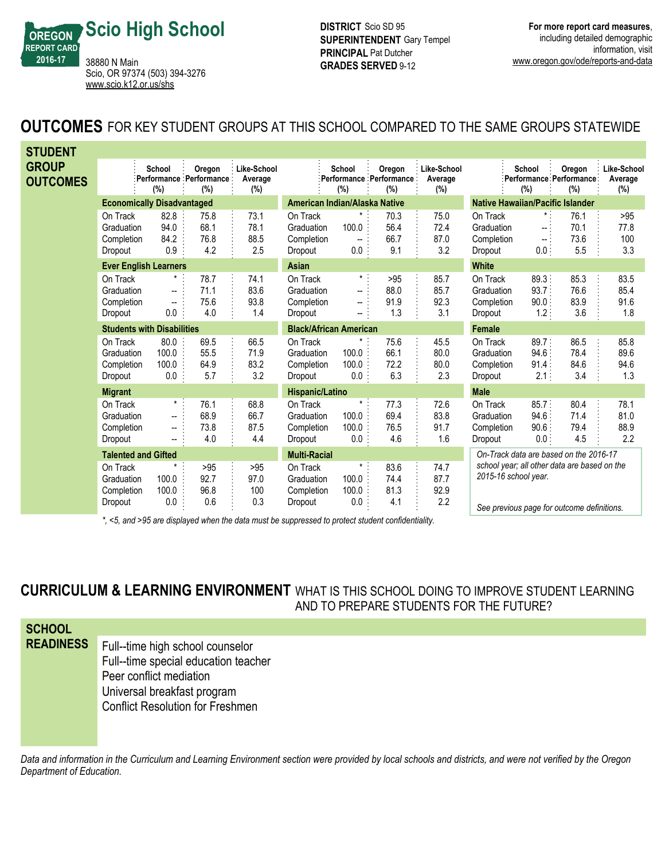

**DISTRICT** Scio SD 95 **SUPERINTENDENT** Gary Tempel **PRINCIPAL** Pat Dutcher **GRADES SERVED** 9-12

# **OUTCOMES** FOR KEY STUDENT GROUPS AT THIS SCHOOL COMPARED TO THE SAME GROUPS STATEWIDE

| <b>STUDENT</b>                  |                                                 |                                                                           |                                                  |                                      |                                                 |                                           |                                          |                                  |                                                                                                                    |                                        |                                          |                                  |
|---------------------------------|-------------------------------------------------|---------------------------------------------------------------------------|--------------------------------------------------|--------------------------------------|-------------------------------------------------|-------------------------------------------|------------------------------------------|----------------------------------|--------------------------------------------------------------------------------------------------------------------|----------------------------------------|------------------------------------------|----------------------------------|
| <b>GROUP</b><br><b>OUTCOMES</b> |                                                 | School<br>$(\%)$                                                          | Oregon<br><b>Performance Performance:</b><br>(%) | <b>Like-School</b><br>Average<br>(%) |                                                 | School<br>$(\%)$                          | Oregon<br>Performance Performance<br>(%) | Like-School<br>Average<br>$(\%)$ |                                                                                                                    | School<br>(%)                          | Oregon<br>Performance Performance<br>(%) | Like-School<br>Average<br>$(\%)$ |
|                                 | <b>Economically Disadvantaged</b>               |                                                                           |                                                  |                                      | American Indian/Alaska Native                   |                                           |                                          |                                  | <b>Native Hawaiian/Pacific Islander</b>                                                                            |                                        |                                          |                                  |
|                                 | On Track<br>Graduation<br>Completion<br>Dropout | 82.8<br>94.0<br>84.2<br>0.9                                               | 75.8<br>68.1<br>76.8<br>4.2                      | 73.1<br>78.1<br>88.5<br>2.5          | On Track<br>Graduation<br>Completion<br>Dropout | 100.0<br>$\overline{\phantom{a}}$<br>0.0: | 70.3<br>56.4<br>66.7<br>9.1              | 75.0<br>72.4<br>87.0<br>3.2      | On Track<br>Graduation<br>Completion<br>Dropout                                                                    | $\star$ .<br>-- 1<br>÷.,<br>0.0        | 76.1<br>70.1<br>73.6<br>5.5              | >95<br>77.8<br>100<br>3.3        |
|                                 |                                                 | <b>Ever English Learners</b>                                              |                                                  |                                      | <b>Asian</b>                                    |                                           |                                          |                                  | <b>White</b>                                                                                                       |                                        |                                          |                                  |
|                                 | On Track<br>Graduation<br>Completion<br>Dropout | $^{\star}$<br>$\overline{\phantom{a}}$<br>$\overline{\phantom{a}}$<br>0.0 | 78.7<br>71.1<br>75.6<br>4.0                      | 74.1<br>83.6<br>93.8<br>1.4          | On Track<br>Graduation<br>Completion<br>Dropout | $\star$ .<br>--<br>--                     | >95<br>88.0<br>91.9<br>1.3               | 85.7<br>85.7<br>92.3<br>3.1      | On Track<br>Graduation<br>Completion<br>Dropout                                                                    | 89.3<br>93.7<br>90.0:<br>$1.2$ :       | 85.3<br>76.6<br>83.9<br>3.6              | 83.5<br>85.4<br>91.6<br>1.8      |
|                                 |                                                 | <b>Students with Disabilities</b>                                         |                                                  |                                      | <b>Black/African American</b>                   |                                           |                                          |                                  | Female                                                                                                             |                                        |                                          |                                  |
|                                 | On Track<br>Graduation<br>Completion<br>Dropout | 80.0<br>100.0<br>100.0<br>0.0                                             | 69.5<br>55.5<br>64.9<br>5.7                      | 66.5<br>71.9<br>83.2<br>3.2          | On Track<br>Graduation<br>Completion<br>Dropout | 100.0<br>100.0<br>0.0                     | 75.6<br>66.1<br>72.2<br>6.3              | 45.5<br>80.0<br>80.0<br>2.3      | On Track<br>Graduation<br>Completion<br>Dropout                                                                    | 89.7:<br>$94.6 \cdot$<br>91.4:<br>2.1: | 86.5<br>78.4<br>84.6<br>3.4              | 85.8<br>89.6<br>94.6<br>1.3      |
|                                 | <b>Migrant</b>                                  |                                                                           |                                                  |                                      | Hispanic/Latino                                 |                                           |                                          |                                  | <b>Male</b>                                                                                                        |                                        |                                          |                                  |
|                                 | On Track<br>Graduation<br>Completion<br>Dropout | $\star$ :<br>−−<br>$\overline{\phantom{a}}$                               | 76.1<br>68.9<br>73.8<br>4.0                      | 68.8<br>66.7<br>87.5<br>4.4          | On Track<br>Graduation<br>Completion<br>Dropout | $\star$<br>100.0<br>100.0<br>$0.0$ :      | 77.3<br>69.4<br>76.5<br>4.6              | 72.6<br>83.8<br>91.7<br>1.6      | On Track<br>Graduation<br>Completion<br>Dropout                                                                    | 85.7:<br>94.6:<br>90.6:<br>0.0:        | 80.4<br>71.4<br>79.4<br>4.5              | 78.1<br>81.0<br>88.9<br>2.2      |
|                                 | <b>Talented and Gifted</b>                      |                                                                           |                                                  |                                      | <b>Multi-Racial</b>                             |                                           |                                          |                                  | On-Track data are based on the 2016-17                                                                             |                                        |                                          |                                  |
|                                 | On Track<br>Graduation<br>Completion<br>Dropout | $\star$<br>100.0<br>100.0<br>0.0                                          | >95<br>92.7<br>96.8<br>0.6                       | $>95$<br>97.0<br>100<br>0.3          | On Track<br>Graduation<br>Completion<br>Dropout | $\star$<br>100.0<br>100.0<br>0.0          | 83.6<br>74.4<br>81.3<br>4.1              | 74.7<br>87.7<br>92.9<br>2.2      | school year; all other data are based on the<br>2015-16 school year.<br>Can provision nogo for outcome definitions |                                        |                                          |                                  |

*\*, <5, and >95 are displayed when the data must be suppressed to protect student confidentiality.*

*See previous page for outcome definitions.*

# **CURRICULUM & LEARNING ENVIRONMENT** WHAT IS THIS SCHOOL DOING TO IMPROVE STUDENT LEARNING AND TO PREPARE STUDENTS FOR THE FUTURE?

| <b>SCHOOL</b>    |                                         |
|------------------|-----------------------------------------|
| <b>READINESS</b> | Full--time high school counselor        |
|                  | Full--time special education teacher    |
|                  | Peer conflict mediation                 |
|                  | Universal breakfast program             |
|                  | <b>Conflict Resolution for Freshmen</b> |
|                  |                                         |

*Data and information in the Curriculum and Learning Environment section were provided by local schools and districts, and were not verified by the Oregon Department of Education.*